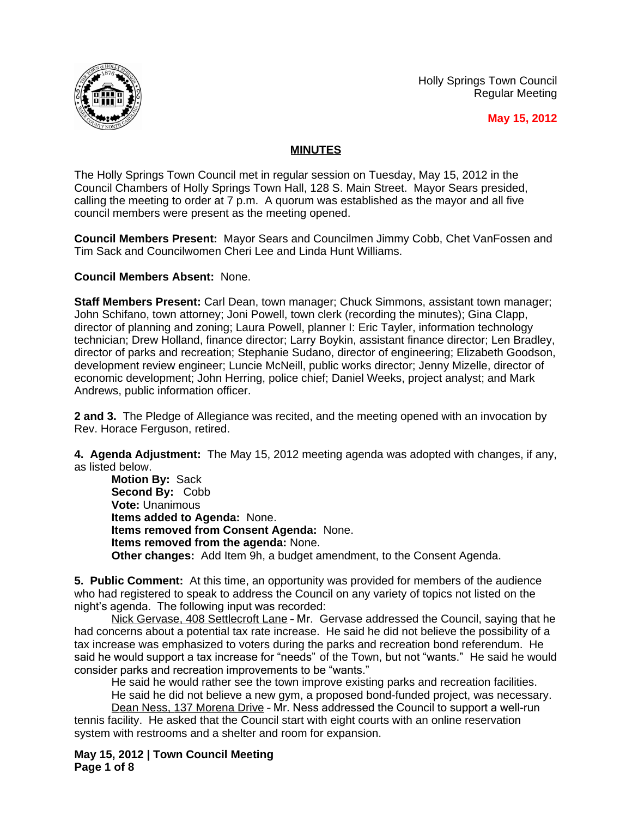Holly Springs Town Council Regular Meeting



**May 15, 2012**

## **MINUTES**

The Holly Springs Town Council met in regular session on Tuesday, May 15, 2012 in the Council Chambers of Holly Springs Town Hall, 128 S. Main Street. Mayor Sears presided, calling the meeting to order at 7 p.m. A quorum was established as the mayor and all five council members were present as the meeting opened.

**Council Members Present:** Mayor Sears and Councilmen Jimmy Cobb, Chet VanFossen and Tim Sack and Councilwomen Cheri Lee and Linda Hunt Williams.

## **Council Members Absent:** None.

**Staff Members Present:** Carl Dean, town manager; Chuck Simmons, assistant town manager; John Schifano, town attorney; Joni Powell, town clerk (recording the minutes); Gina Clapp, director of planning and zoning; Laura Powell, planner I: Eric Tayler, information technology technician; Drew Holland, finance director; Larry Boykin, assistant finance director; Len Bradley, director of parks and recreation; Stephanie Sudano, director of engineering; Elizabeth Goodson, development review engineer; Luncie McNeill, public works director; Jenny Mizelle, director of economic development; John Herring, police chief; Daniel Weeks, project analyst; and Mark Andrews, public information officer.

**2 and 3.** The Pledge of Allegiance was recited, and the meeting opened with an invocation by Rev. Horace Ferguson, retired.

**4. Agenda Adjustment:** The May 15, 2012 meeting agenda was adopted with changes, if any, as listed below.

**Motion By:** Sack **Second By:** Cobb **Vote:** Unanimous **Items added to Agenda:** None. **Items removed from Consent Agenda:** None. **Items removed from the agenda:** None. **Other changes:** Add Item 9h, a budget amendment, to the Consent Agenda.

**5. Public Comment:** At this time, an opportunity was provided for members of the audience who had registered to speak to address the Council on any variety of topics not listed on the night's agenda. The following input was recorded:

Nick Gervase, 408 Settlecroft Lane–Mr. Gervase addressed the Council, saying that he had concerns about a potential tax rate increase. He said he did not believe the possibility of a tax increase was emphasized to voters during the parks and recreation bond referendum. He said he would support a tax increase for "needs" of the Town, but not "wants." He said he would consider parks and recreation improvements to be "wants."

He said he would rather see the town improve existing parks and recreation facilities. He said he did not believe a new gym, a proposed bond-funded project, was necessary.

Dean Ness, 137 Morena Drive - Mr. Ness addressed the Council to support a well-run tennis facility. He asked that the Council start with eight courts with an online reservation system with restrooms and a shelter and room for expansion.

**May 15, 2012 | Town Council Meeting Page 1 of 8**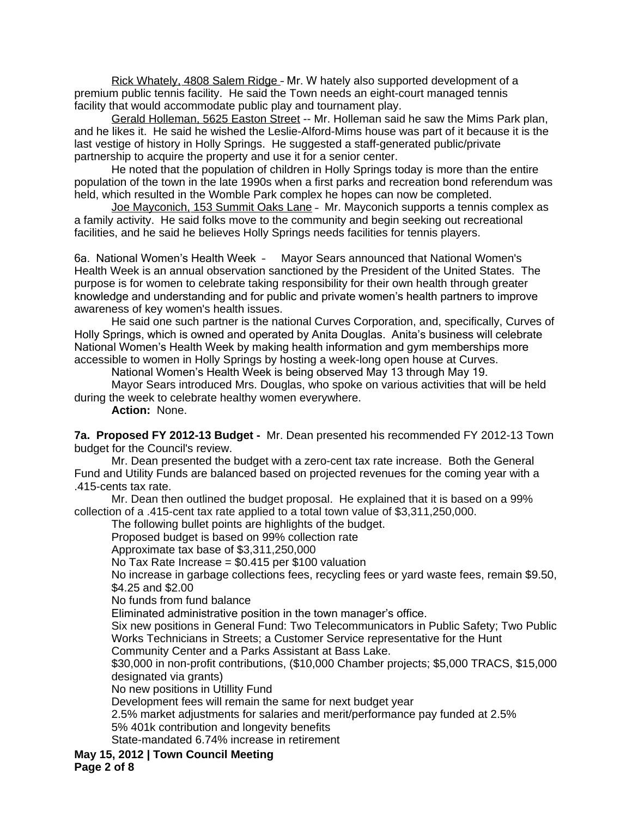Rick Whately, 4808 Salem Ridge –Mr.W hately also supported development of a premium public tennis facility. He said the Town needs an eight-court managed tennis facility that would accommodate public play and tournament play.

Gerald Holleman, 5625 Easton Street -- Mr. Holleman said he saw the Mims Park plan, and he likes it. He said he wished the Leslie-Alford-Mims house was part of it because it is the last vestige of history in Holly Springs. He suggested a staff-generated public/private partnership to acquire the property and use it for a senior center.

He noted that the population of children in Holly Springs today is more than the entire population of the town in the late 1990s when a first parks and recreation bond referendum was held, which resulted in the Womble Park complex he hopes can now be completed.

Joe Mayconich, 153 Summit Oaks Lane - Mr. Mayconich supports a tennis complex as a family activity. He said folks move to the community and begin seeking out recreational facilities, and he said he believes Holly Springs needs facilities for tennis players.

6a. National Women's Health Week – Mayor Sears announced that National Women's Health Week is an annual observation sanctioned by the President of the United States. The purpose is for women to celebrate taking responsibility for their own health through greater knowledge and understanding and for public and private women's health partners to improve awareness of key women's health issues.

He said one such partner is the national Curves Corporation, and, specifically, Curves of Holly Springs, which is owned and operated by Anita Douglas. Anita's business will celebrate National Women's Health Week by making health information and gym memberships more accessible to women in Holly Springs by hosting a week-long open house at Curves.

National Women's Health Week is being observed May 13 through May 19.

Mayor Sears introduced Mrs. Douglas, who spoke on various activities that will be held during the week to celebrate healthy women everywhere.

**Action:** None.

**7a. Proposed FY 2012-13 Budget -** Mr. Dean presented his recommended FY 2012-13 Town budget for the Council's review.

Mr. Dean presented the budget with a zero-cent tax rate increase. Both the General Fund and Utility Funds are balanced based on projected revenues for the coming year with a .415-cents tax rate.

Mr. Dean then outlined the budget proposal. He explained that it is based on a 99% collection of a .415-cent tax rate applied to a total town value of \$3,311,250,000.

The following bullet points are highlights of the budget.

Proposed budget is based on 99% collection rate

Approximate tax base of \$3,311,250,000

No Tax Rate Increase = \$0.415 per \$100 valuation

No increase in garbage collections fees, recycling fees or yard waste fees, remain \$9.50, \$4.25 and \$2.00

No funds from fund balance

Eliminated administrative position in the town manager's office.

Six new positions in General Fund: Two Telecommunicators in Public Safety; Two Public Works Technicians in Streets; a Customer Service representative for the Hunt

Community Center and a Parks Assistant at Bass Lake.

\$30,000 in non-profit contributions, (\$10,000 Chamber projects; \$5,000 TRACS, \$15,000 designated via grants)

No new positions in Utillity Fund

Development fees will remain the same for next budget year

2.5% market adjustments for salaries and merit/performance pay funded at 2.5%

5% 401k contribution and longevity benefits

State-mandated 6.74% increase in retirement

**May 15, 2012 | Town Council Meeting Page 2 of 8**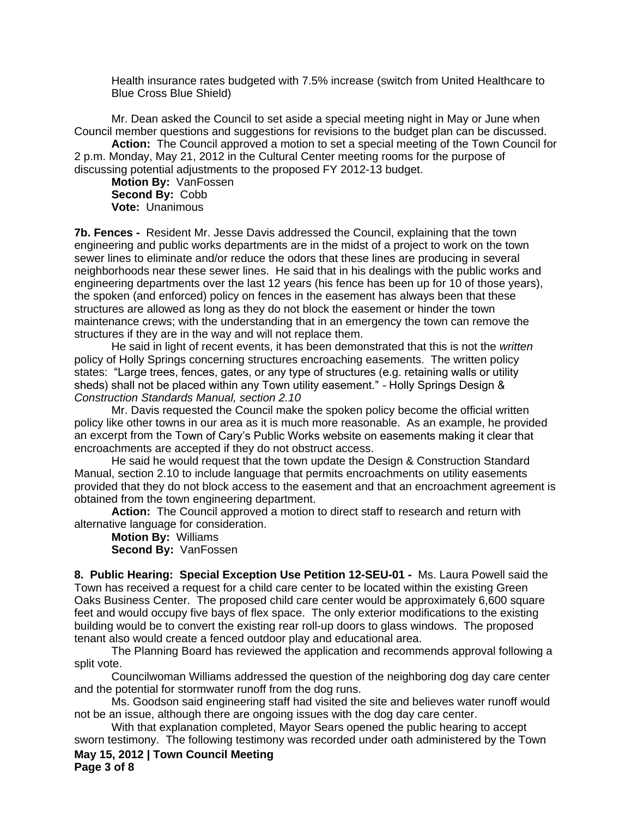Health insurance rates budgeted with 7.5% increase (switch from United Healthcare to Blue Cross Blue Shield)

Mr. Dean asked the Council to set aside a special meeting night in May or June when Council member questions and suggestions for revisions to the budget plan can be discussed.

**Action:** The Council approved a motion to set a special meeting of the Town Council for 2 p.m. Monday, May 21, 2012 in the Cultural Center meeting rooms for the purpose of discussing potential adjustments to the proposed FY 2012-13 budget.

**Motion By:** VanFossen **Second By:** Cobb **Vote:** Unanimous

**7b. Fences -** Resident Mr. Jesse Davis addressed the Council, explaining that the town engineering and public works departments are in the midst of a project to work on the town sewer lines to eliminate and/or reduce the odors that these lines are producing in several neighborhoods near these sewer lines. He said that in his dealings with the public works and engineering departments over the last 12 years (his fence has been up for 10 of those years), the spoken (and enforced) policy on fences in the easement has always been that these structures are allowed as long as they do not block the easement or hinder the town maintenance crews; with the understanding that in an emergency the town can remove the structures if they are in the way and will not replace them.

He said in light of recent events, it has been demonstrated that this is not the *written* policy of Holly Springs concerning structures encroaching easements. The written policy states: "Large trees, fences, gates, or any type of structures (e.g. retaining walls or utility sheds) shall not be placed within any Town utility easement." - Holly Springs Design & *Construction Standards Manual, section 2.10*

Mr. Davis requested the Council make the spoken policy become the official written policy like other towns in our area as it is much more reasonable. As an example, he provided an excerpt from the Town of Cary's Public Works website on easements making it clear that encroachments are accepted if they do not obstruct access.

He said he would request that the town update the Design & Construction Standard Manual, section 2.10 to include language that permits encroachments on utility easements provided that they do not block access to the easement and that an encroachment agreement is obtained from the town engineering department.

**Action:** The Council approved a motion to direct staff to research and return with alternative language for consideration.

**Motion By:** Williams **Second By:** VanFossen

**8. Public Hearing: Special Exception Use Petition 12-SEU-01 -** Ms. Laura Powell said the Town has received a request for a child care center to be located within the existing Green Oaks Business Center. The proposed child care center would be approximately 6,600 square feet and would occupy five bays of flex space. The only exterior modifications to the existing building would be to convert the existing rear roll-up doors to glass windows. The proposed tenant also would create a fenced outdoor play and educational area.

The Planning Board has reviewed the application and recommends approval following a split vote.

Councilwoman Williams addressed the question of the neighboring dog day care center and the potential for stormwater runoff from the dog runs.

Ms. Goodson said engineering staff had visited the site and believes water runoff would not be an issue, although there are ongoing issues with the dog day care center.

**May 15, 2012 | Town Council Meeting Page 3 of 8** With that explanation completed, Mayor Sears opened the public hearing to accept sworn testimony. The following testimony was recorded under oath administered by the Town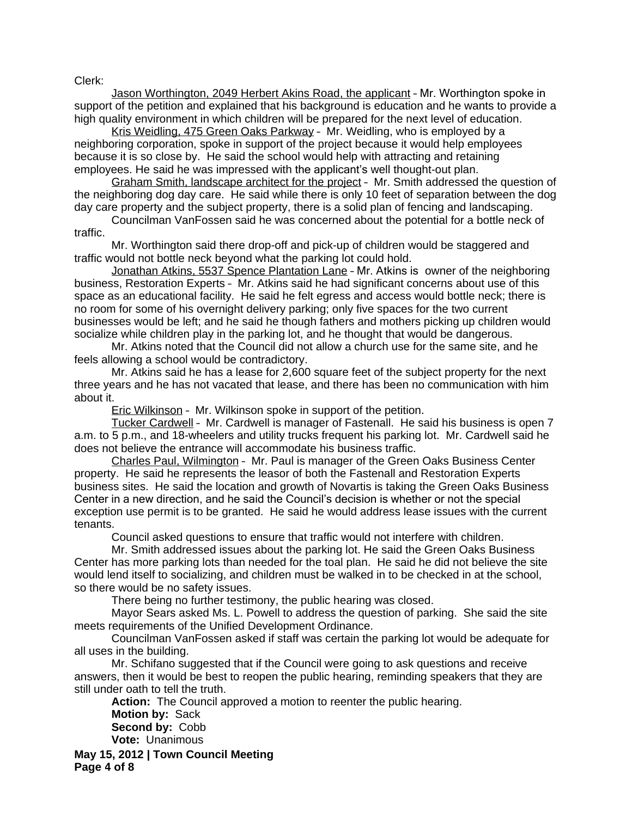Clerk:

Jason Worthington, 2049 Herbert Akins Road, the applicant - Mr. Worthington spoke in support of the petition and explained that his background is education and he wants to provide a high quality environment in which children will be prepared for the next level of education.

Kris Weidling, 475 Green Oaks Parkway– Mr. Weidling, who is employed by a neighboring corporation, spoke in support of the project because it would help employees because it is so close by. He said the school would help with attracting and retaining employees. He said he was impressed with the applicant's well thought-out plan.

Graham Smith, landscape architect for the project– Mr. Smith addressed the question of the neighboring dog day care. He said while there is only 10 feet of separation between the dog day care property and the subject property, there is a solid plan of fencing and landscaping.

Councilman VanFossen said he was concerned about the potential for a bottle neck of traffic.

Mr. Worthington said there drop-off and pick-up of children would be staggered and traffic would not bottle neck beyond what the parking lot could hold.

Jonathan Atkins, 5537 Spence Plantation Lane - Mr. Atkins is owner of the neighboring business, Restoration Experts– Mr. Atkins said he had significant concerns about use of this space as an educational facility. He said he felt egress and access would bottle neck; there is no room for some of his overnight delivery parking; only five spaces for the two current businesses would be left; and he said he though fathers and mothers picking up children would socialize while children play in the parking lot, and he thought that would be dangerous.

Mr. Atkins noted that the Council did not allow a church use for the same site, and he feels allowing a school would be contradictory.

Mr. Atkins said he has a lease for 2,600 square feet of the subject property for the next three years and he has not vacated that lease, and there has been no communication with him about it.

Eric Wilkinson – Mr. Wilkinson spoke in support of the petition.

Tucker Cardwell– Mr. Cardwell is manager of Fastenall. He said his business is open 7 a.m. to 5 p.m., and 18-wheelers and utility trucks frequent his parking lot. Mr. Cardwell said he does not believe the entrance will accommodate his business traffic.

Charles Paul, Wilmington– Mr. Paul is manager of the Green Oaks Business Center property. He said he represents the leasor of both the Fastenall and Restoration Experts business sites. He said the location and growth of Novartis is taking the Green Oaks Business Center in a new direction, and he said the Council's decision is whether or not the special exception use permit is to be granted. He said he would address lease issues with the current tenants.

Council asked questions to ensure that traffic would not interfere with children.

Mr. Smith addressed issues about the parking lot. He said the Green Oaks Business Center has more parking lots than needed for the toal plan. He said he did not believe the site would lend itself to socializing, and children must be walked in to be checked in at the school, so there would be no safety issues.

There being no further testimony, the public hearing was closed.

Mayor Sears asked Ms. L. Powell to address the question of parking. She said the site meets requirements of the Unified Development Ordinance.

Councilman VanFossen asked if staff was certain the parking lot would be adequate for all uses in the building.

Mr. Schifano suggested that if the Council were going to ask questions and receive answers, then it would be best to reopen the public hearing, reminding speakers that they are still under oath to tell the truth.

**Action:** The Council approved a motion to reenter the public hearing. **Motion by:** Sack **Second by:** Cobb **Vote:** Unanimous

**May 15, 2012 | Town Council Meeting Page 4 of 8**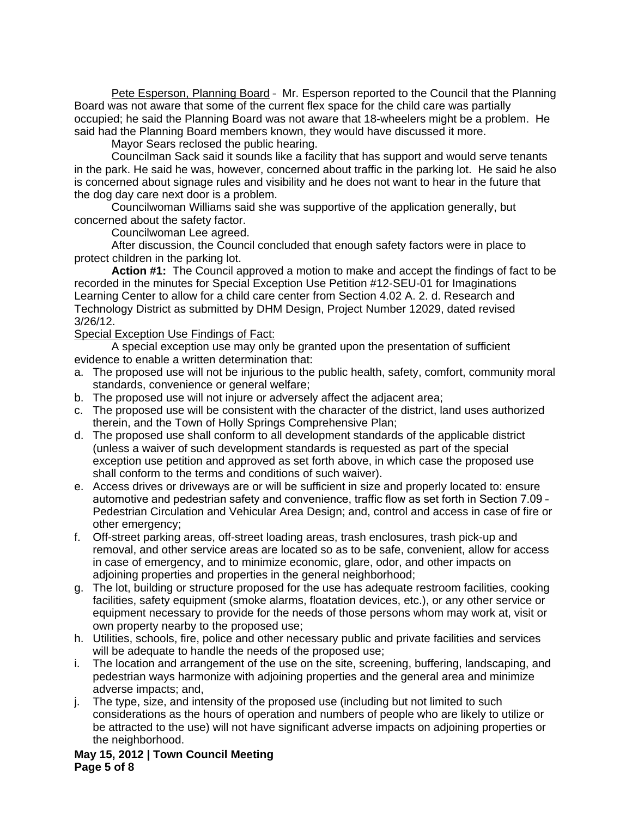Pete Esperson, Planning Board - Mr. Esperson reported to the Council that the Planning Board was not aware that some of the current flex space for the child care was partially occupied; he said the Planning Board was not aware that 18-wheelers might be a problem. He said had the Planning Board members known, they would have discussed it more.

Mayor Sears reclosed the public hearing.

Councilman Sack said it sounds like a facility that has support and would serve tenants in the park. He said he was, however, concerned about traffic in the parking lot. He said he also is concerned about signage rules and visibility and he does not want to hear in the future that the dog day care next door is a problem.

Councilwoman Williams said she was supportive of the application generally, but concerned about the safety factor.

Councilwoman Lee agreed.

After discussion, the Council concluded that enough safety factors were in place to protect children in the parking lot.

**Action #1:** The Council approved a motion to make and accept the findings of fact to be recorded in the minutes for Special Exception Use Petition #12-SEU-01 for Imaginations Learning Center to allow for a child care center from Section 4.02 A. 2. d. Research and Technology District as submitted by DHM Design, Project Number 12029, dated revised 3/26/12.

Special Exception Use Findings of Fact:

A special exception use may only be granted upon the presentation of sufficient evidence to enable a written determination that:

- a. The proposed use will not be injurious to the public health, safety, comfort, community moral standards, convenience or general welfare;
- b. The proposed use will not injure or adversely affect the adjacent area;
- c. The proposed use will be consistent with the character of the district, land uses authorized therein, and the Town of Holly Springs Comprehensive Plan;
- d. The proposed use shall conform to all development standards of the applicable district (unless a waiver of such development standards is requested as part of the special exception use petition and approved as set forth above, in which case the proposed use shall conform to the terms and conditions of such waiver).
- e. Access drives or driveways are or will be sufficient in size and properly located to: ensure automotive and pedestrian safety and convenience, traffic flow as set forth in Section 7.09 -Pedestrian Circulation and Vehicular Area Design; and, control and access in case of fire or other emergency;
- f. Off-street parking areas, off-street loading areas, trash enclosures, trash pick-up and removal, and other service areas are located so as to be safe, convenient, allow for access in case of emergency, and to minimize economic, glare, odor, and other impacts on adjoining properties and properties in the general neighborhood;
- g. The lot, building or structure proposed for the use has adequate restroom facilities, cooking facilities, safety equipment (smoke alarms, floatation devices, etc.), or any other service or equipment necessary to provide for the needs of those persons whom may work at, visit or own property nearby to the proposed use;
- h. Utilities, schools, fire, police and other necessary public and private facilities and services will be adequate to handle the needs of the proposed use;
- i. The location and arrangement of the use on the site, screening, buffering, landscaping, and pedestrian ways harmonize with adjoining properties and the general area and minimize adverse impacts; and,
- j. The type, size, and intensity of the proposed use (including but not limited to such considerations as the hours of operation and numbers of people who are likely to utilize or be attracted to the use) will not have significant adverse impacts on adjoining properties or the neighborhood.

**May 15, 2012 | Town Council Meeting Page 5 of 8**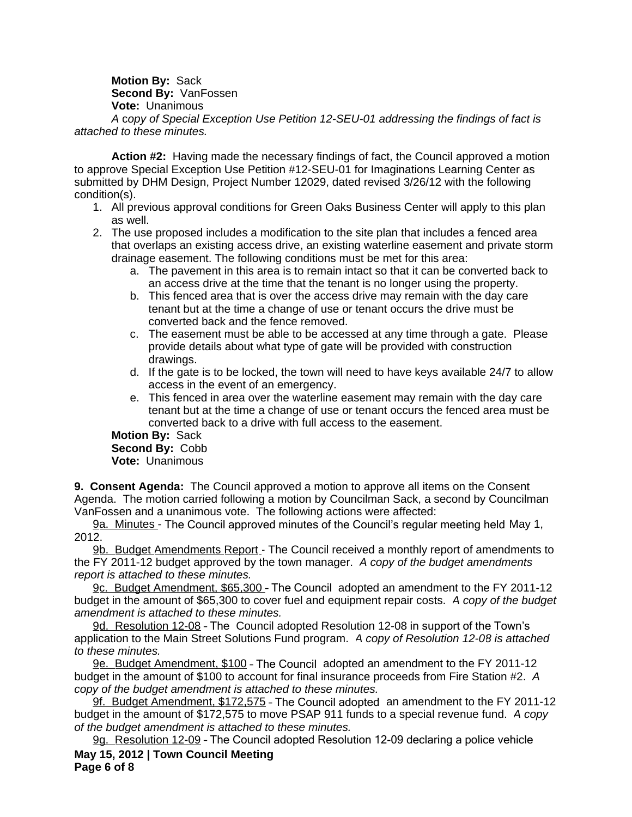**Motion By:** Sack **Second By:** VanFossen **Vote:** Unanimous *A* c*opy of Special Exception Use Petition 12-SEU-01 addressing the findings of fact is attached to these minutes.*

**Action #2:** Having made the necessary findings of fact, the Council approved a motion to approve Special Exception Use Petition #12-SEU-01 for Imaginations Learning Center as submitted by DHM Design, Project Number 12029, dated revised 3/26/12 with the following condition(s).

- 1. All previous approval conditions for Green Oaks Business Center will apply to this plan as well.
- 2. The use proposed includes a modification to the site plan that includes a fenced area that overlaps an existing access drive, an existing waterline easement and private storm drainage easement. The following conditions must be met for this area:
	- a. The pavement in this area is to remain intact so that it can be converted back to an access drive at the time that the tenant is no longer using the property.
	- b. This fenced area that is over the access drive may remain with the day care tenant but at the time a change of use or tenant occurs the drive must be converted back and the fence removed.
	- c. The easement must be able to be accessed at any time through a gate. Please provide details about what type of gate will be provided with construction drawings.
	- d. If the gate is to be locked, the town will need to have keys available 24/7 to allow access in the event of an emergency.
	- e. This fenced in area over the waterline easement may remain with the day care tenant but at the time a change of use or tenant occurs the fenced area must be converted back to a drive with full access to the easement.

## **Motion By:** Sack

**Second By:** Cobb **Vote:** Unanimous

**9. Consent Agenda:** The Council approved a motion to approve all items on the Consent Agenda. The motion carried following a motion by Councilman Sack, a second by Councilman VanFossen and a unanimous vote. The following actions were affected:

9a. Minutes - The Council approved minutes of the Council's regular meeting held May 1, 2012.

9b. Budget Amendments Report - The Council received a monthly report of amendments to the FY 2011-12 budget approved by the town manager. *A copy of the budget amendments report is attached to these minutes.*

9c. Budget Amendment, \$65,300 –TheCouncil adopted an amendment to the FY 2011-12 budget in the amount of \$65,300 to cover fuel and equipment repair costs. *A copy of the budget amendment is attached to these minutes.*

9d. Resolution 12-08 - The Council adopted Resolution 12-08 in support of the Town's application to the Main Street Solutions Fund program. *A copy of Resolution 12-08 is attached to these minutes.*

9e. Budget Amendment, \$100–TheCouncil adopted an amendment to the FY 2011-12 budget in the amount of \$100 to account for final insurance proceeds from Fire Station #2. *A copy of the budget amendment is attached to these minutes.*

9f. Budget Amendment, \$172,575 - The Council adopted an amendment to the FY 2011-12 budget in the amount of \$172,575 to move PSAP 911 funds to a special revenue fund. *A copy of the budget amendment is attached to these minutes.*

**May 15, 2012 | Town Council Meeting** 9g. Resolution 12-09 - The Council adopted Resolution 12-09 declaring a police vehicle

**Page 6 of 8**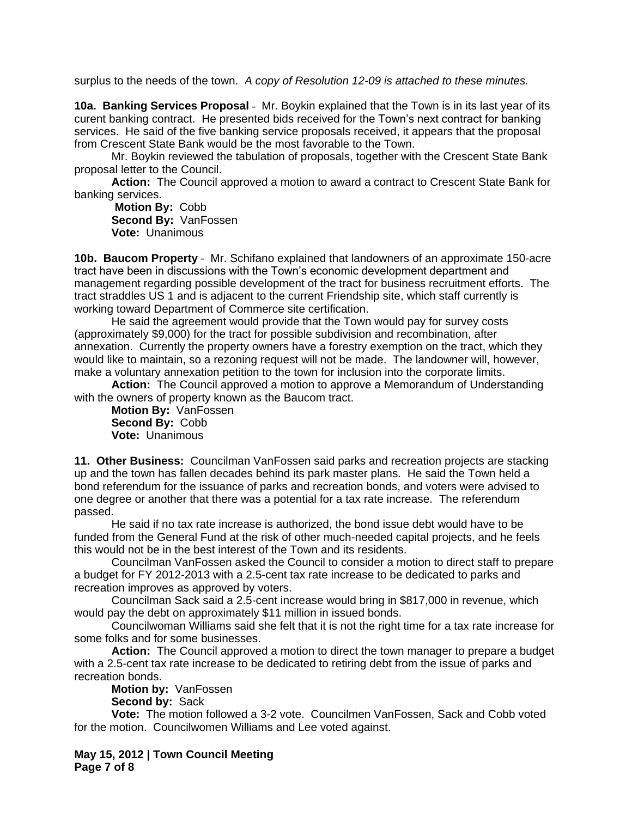surplus to the needs of the town. *A copy of Resolution 12-09 is attached to these minutes.*

**10a. Banking Services Proposal** – Mr. Boykin explained that the Town is in its last year of its curent banking contract. He presented bids received for the Town's next contract for banking services. He said of the five banking service proposals received, it appears that the proposal from Crescent State Bank would be the most favorable to the Town.

Mr. Boykin reviewed the tabulation of proposals, together with the Crescent State Bank proposal letter to the Council.

**Action:** The Council approved a motion to award a contract to Crescent State Bank for banking services.

**Motion By:** Cobb **Second By:** VanFossen **Vote:** Unanimous

**10b. Baucom Property** – Mr. Schifano explained that landowners of an approximate 150-acre tract have been in discussions with the Town's economic development department and management regarding possible development of the tract for business recruitment efforts. The tract straddles US 1 and is adjacent to the current Friendship site, which staff currently is working toward Department of Commerce site certification.

He said the agreement would provide that the Town would pay for survey costs (approximately \$9,000) for the tract for possible subdivision and recombination, after annexation. Currently the property owners have a forestry exemption on the tract, which they would like to maintain, so a rezoning request will not be made. The landowner will, however, make a voluntary annexation petition to the town for inclusion into the corporate limits.

**Action:** The Council approved a motion to approve a Memorandum of Understanding with the owners of property known as the Baucom tract.

**Motion By:** VanFossen **Second By:** Cobb **Vote:** Unanimous

**11. Other Business:** Councilman VanFossen said parks and recreation projects are stacking up and the town has fallen decades behind its park master plans. He said the Town held a bond referendum for the issuance of parks and recreation bonds, and voters were advised to one degree or another that there was a potential for a tax rate increase. The referendum passed.

He said if no tax rate increase is authorized, the bond issue debt would have to be funded from the General Fund at the risk of other much-needed capital projects, and he feels this would not be in the best interest of the Town and its residents.

Councilman VanFossen asked the Council to consider a motion to direct staff to prepare a budget for FY 2012-2013 with a 2.5-cent tax rate increase to be dedicated to parks and recreation improves as approved by voters.

Councilman Sack said a 2.5-cent increase would bring in \$817,000 in revenue, which would pay the debt on approximately \$11 million in issued bonds.

Councilwoman Williams said she felt that it is not the right time for a tax rate increase for some folks and for some businesses.

**Action:** The Council approved a motion to direct the town manager to prepare a budget with a 2.5-cent tax rate increase to be dedicated to retiring debt from the issue of parks and recreation bonds.

**Motion by:** VanFossen **Second by:** Sack

**Vote:** The motion followed a 3-2 vote. Councilmen VanFossen, Sack and Cobb voted for the motion. Councilwomen Williams and Lee voted against.

**May 15, 2012 | Town Council Meeting Page 7 of 8**